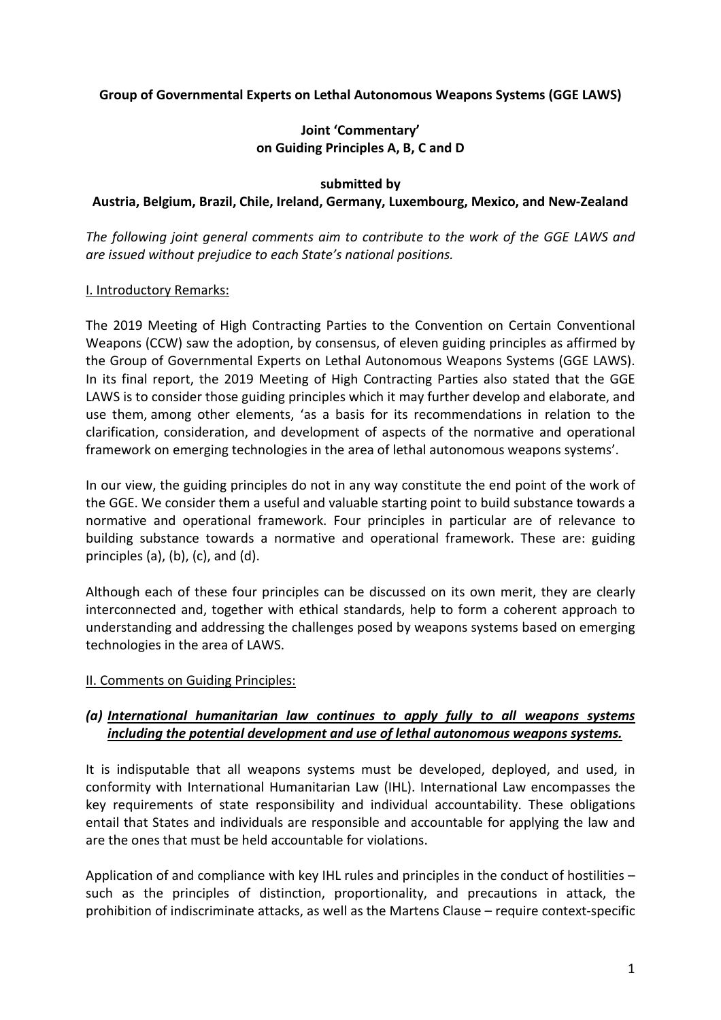## **Group of Governmental Experts on Lethal Autonomous Weapons Systems (GGE LAWS)**

## **Joint 'Commentary' on Guiding Principles A, B, C and D**

#### **submitted by**

### **Austria, Belgium, Brazil, Chile, Ireland, Germany, Luxembourg, Mexico, and New-Zealand**

*The following joint general comments aim to contribute to the work of the GGE LAWS and are issued without prejudice to each State's national positions.* 

### I. Introductory Remarks:

The 2019 Meeting of High Contracting Parties to the Convention on Certain Conventional Weapons (CCW) saw the adoption, by consensus, of eleven guiding principles as affirmed by the Group of Governmental Experts on Lethal Autonomous Weapons Systems (GGE LAWS). In its final report, the 2019 Meeting of High Contracting Parties also stated that the GGE LAWS is to consider those guiding principles which it may further develop and elaborate, and use them, among other elements, 'as a basis for its recommendations in relation to the clarification, consideration, and development of aspects of the normative and operational framework on emerging technologies in the area of lethal autonomous weapons systems'.

In our view, the guiding principles do not in any way constitute the end point of the work of the GGE. We consider them a useful and valuable starting point to build substance towards a normative and operational framework. Four principles in particular are of relevance to building substance towards a normative and operational framework. These are: guiding principles  $(a)$ ,  $(b)$ ,  $(c)$ , and  $(d)$ .

Although each of these four principles can be discussed on its own merit, they are clearly interconnected and, together with ethical standards, help to form a coherent approach to understanding and addressing the challenges posed by weapons systems based on emerging technologies in the area of LAWS.

## II. Comments on Guiding Principles:

# *(a) International humanitarian law continues to apply fully to all weapons systems including the potential development and use of lethal autonomous weapons systems.*

It is indisputable that all weapons systems must be developed, deployed, and used, in conformity with International Humanitarian Law (IHL). International Law encompasses the key requirements of state responsibility and individual accountability. These obligations entail that States and individuals are responsible and accountable for applying the law and are the ones that must be held accountable for violations.

Application of and compliance with key IHL rules and principles in the conduct of hostilities – such as the principles of distinction, proportionality, and precautions in attack, the prohibition of indiscriminate attacks, as well as the Martens Clause – require context-specific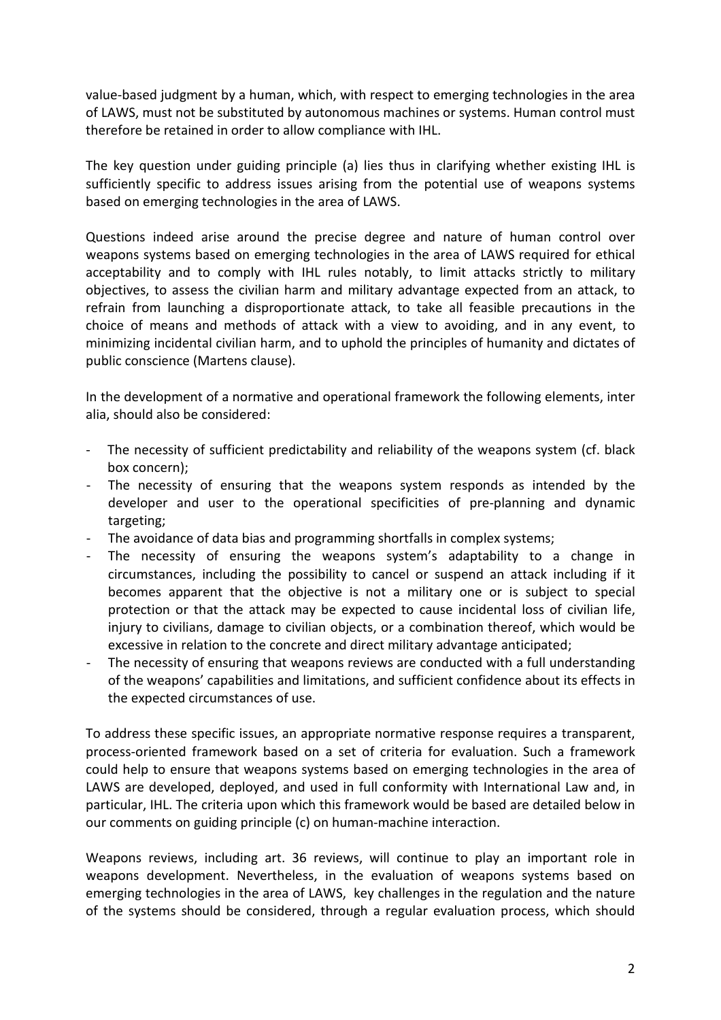value-based judgment by a human, which, with respect to emerging technologies in the area of LAWS, must not be substituted by autonomous machines or systems. Human control must therefore be retained in order to allow compliance with IHL.

The key question under guiding principle (a) lies thus in clarifying whether existing IHL is sufficiently specific to address issues arising from the potential use of weapons systems based on emerging technologies in the area of LAWS.

Questions indeed arise around the precise degree and nature of human control over weapons systems based on emerging technologies in the area of LAWS required for ethical acceptability and to comply with IHL rules notably, to limit attacks strictly to military objectives, to assess the civilian harm and military advantage expected from an attack, to refrain from launching a disproportionate attack, to take all feasible precautions in the choice of means and methods of attack with a view to avoiding, and in any event, to minimizing incidental civilian harm, and to uphold the principles of humanity and dictates of public conscience (Martens clause).

In the development of a normative and operational framework the following elements, inter alia, should also be considered:

- The necessity of sufficient predictability and reliability of the weapons system (cf. black box concern);
- The necessity of ensuring that the weapons system responds as intended by the developer and user to the operational specificities of pre-planning and dynamic targeting;
- The avoidance of data bias and programming shortfalls in complex systems;
- The necessity of ensuring the weapons system's adaptability to a change in circumstances, including the possibility to cancel or suspend an attack including if it becomes apparent that the objective is not a military one or is subject to special protection or that the attack may be expected to cause incidental loss of civilian life, injury to civilians, damage to civilian objects, or a combination thereof, which would be excessive in relation to the concrete and direct military advantage anticipated;
- The necessity of ensuring that weapons reviews are conducted with a full understanding of the weapons' capabilities and limitations, and sufficient confidence about its effects in the expected circumstances of use.

To address these specific issues, an appropriate normative response requires a transparent, process-oriented framework based on a set of criteria for evaluation. Such a framework could help to ensure that weapons systems based on emerging technologies in the area of LAWS are developed, deployed, and used in full conformity with International Law and, in particular, IHL. The criteria upon which this framework would be based are detailed below in our comments on guiding principle (c) on human-machine interaction.

Weapons reviews, including art. 36 reviews, will continue to play an important role in weapons development. Nevertheless, in the evaluation of weapons systems based on emerging technologies in the area of LAWS, key challenges in the regulation and the nature of the systems should be considered, through a regular evaluation process, which should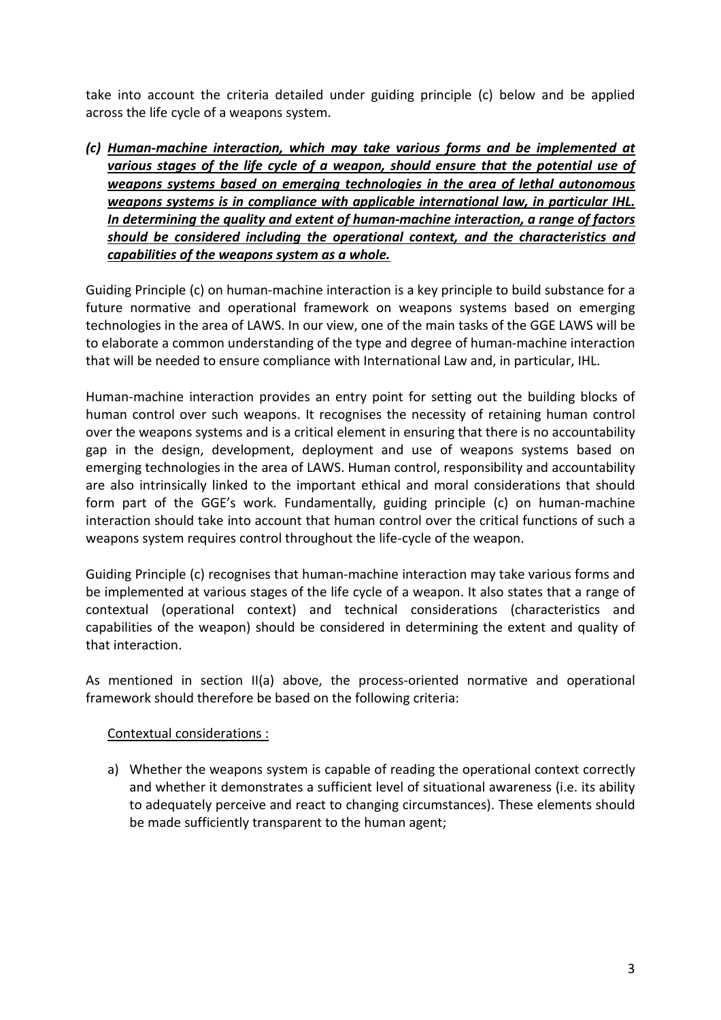take into account the criteria detailed under guiding principle (c) below and be applied across the life cycle of a weapons system.

*(c) Human-machine interaction, which may take various forms and be implemented at various stages of the life cycle of a weapon, should ensure that the potential use of weapons systems based on emerging technologies in the area of lethal autonomous weapons systems is in compliance with applicable international law, in particular IHL. In determining the quality and extent of human-machine interaction, a range of factors should be considered including the operational context, and the characteristics and capabilities of the weapons system as a whole.*

Guiding Principle (c) on human-machine interaction is a key principle to build substance for a future normative and operational framework on weapons systems based on emerging technologies in the area of LAWS. In our view, one of the main tasks of the GGE LAWS will be to elaborate a common understanding of the type and degree of human-machine interaction that will be needed to ensure compliance with International Law and, in particular, IHL.

Human-machine interaction provides an entry point for setting out the building blocks of human control over such weapons. It recognises the necessity of retaining human control over the weapons systems and is a critical element in ensuring that there is no accountability gap in the design, development, deployment and use of weapons systems based on emerging technologies in the area of LAWS. Human control, responsibility and accountability are also intrinsically linked to the important ethical and moral considerations that should form part of the GGE's work. Fundamentally, guiding principle (c) on human-machine interaction should take into account that human control over the critical functions of such a weapons system requires control throughout the life-cycle of the weapon.

Guiding Principle (c) recognises that human-machine interaction may take various forms and be implemented at various stages of the life cycle of a weapon. It also states that a range of contextual (operational context) and technical considerations (characteristics and capabilities of the weapon) should be considered in determining the extent and quality of that interaction.

As mentioned in section II(a) above, the process-oriented normative and operational framework should therefore be based on the following criteria:

## Contextual considerations :

a) Whether the weapons system is capable of reading the operational context correctly and whether it demonstrates a sufficient level of situational awareness (i.e. its ability to adequately perceive and react to changing circumstances). These elements should be made sufficiently transparent to the human agent;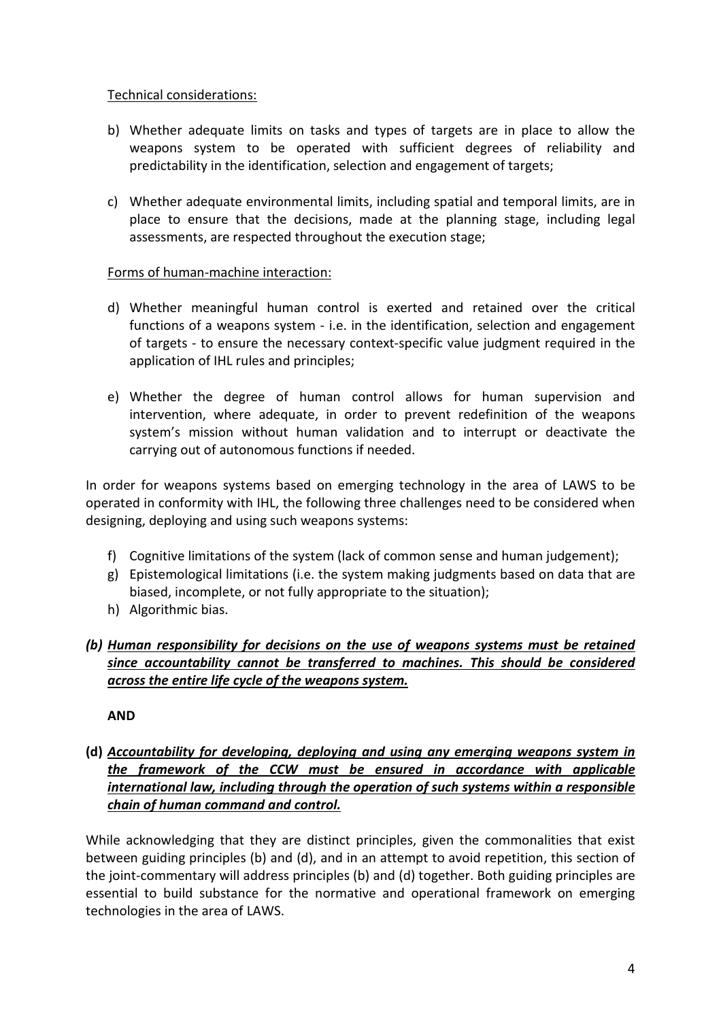## Technical considerations:

- b) Whether adequate limits on tasks and types of targets are in place to allow the weapons system to be operated with sufficient degrees of reliability and predictability in the identification, selection and engagement of targets;
- c) Whether adequate environmental limits, including spatial and temporal limits, are in place to ensure that the decisions, made at the planning stage, including legal assessments, are respected throughout the execution stage;

### Forms of human-machine interaction:

- d) Whether meaningful human control is exerted and retained over the critical functions of a weapons system - i.e. in the identification, selection and engagement of targets - to ensure the necessary context-specific value judgment required in the application of IHL rules and principles;
- e) Whether the degree of human control allows for human supervision and intervention, where adequate, in order to prevent redefinition of the weapons system's mission without human validation and to interrupt or deactivate the carrying out of autonomous functions if needed.

In order for weapons systems based on emerging technology in the area of LAWS to be operated in conformity with IHL, the following three challenges need to be considered when designing, deploying and using such weapons systems:

- f) Cognitive limitations of the system (lack of common sense and human judgement);
- g) Epistemological limitations (i.e. the system making judgments based on data that are biased, incomplete, or not fully appropriate to the situation);
- h) Algorithmic bias.

# *(b) Human responsibility for decisions on the use of weapons systems must be retained since accountability cannot be transferred to machines. This should be considered across the entire life cycle of the weapons system.*

**AND**

**(d)** *Accountability for developing, deploying and using any emerging weapons system in the framework of the CCW must be ensured in accordance with applicable international law, including through the operation of such systems within a responsible chain of human command and control.* 

While acknowledging that they are distinct principles, given the commonalities that exist between guiding principles (b) and (d), and in an attempt to avoid repetition, this section of the joint-commentary will address principles (b) and (d) together. Both guiding principles are essential to build substance for the normative and operational framework on emerging technologies in the area of LAWS.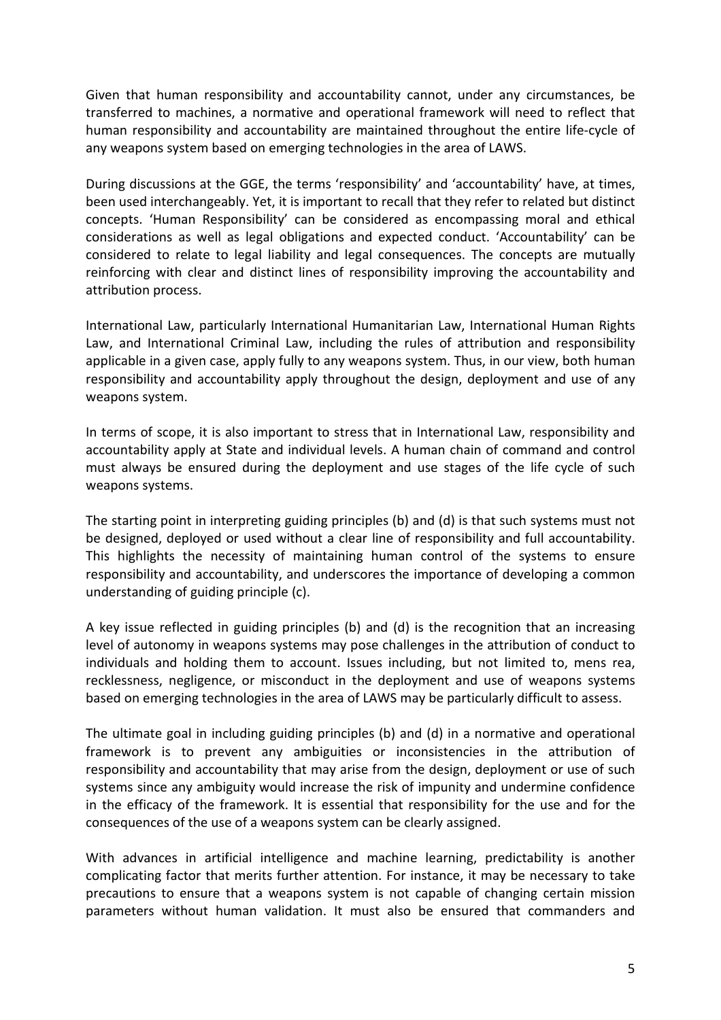Given that human responsibility and accountability cannot, under any circumstances, be transferred to machines, a normative and operational framework will need to reflect that human responsibility and accountability are maintained throughout the entire life-cycle of any weapons system based on emerging technologies in the area of LAWS.

During discussions at the GGE, the terms 'responsibility' and 'accountability' have, at times, been used interchangeably. Yet, it is important to recall that they refer to related but distinct concepts. 'Human Responsibility' can be considered as encompassing moral and ethical considerations as well as legal obligations and expected conduct. 'Accountability' can be considered to relate to legal liability and legal consequences. The concepts are mutually reinforcing with clear and distinct lines of responsibility improving the accountability and attribution process.

International Law, particularly International Humanitarian Law, International Human Rights Law, and International Criminal Law, including the rules of attribution and responsibility applicable in a given case, apply fully to any weapons system. Thus, in our view, both human responsibility and accountability apply throughout the design, deployment and use of any weapons system.

In terms of scope, it is also important to stress that in International Law, responsibility and accountability apply at State and individual levels. A human chain of command and control must always be ensured during the deployment and use stages of the life cycle of such weapons systems.

The starting point in interpreting guiding principles (b) and (d) is that such systems must not be designed, deployed or used without a clear line of responsibility and full accountability. This highlights the necessity of maintaining human control of the systems to ensure responsibility and accountability, and underscores the importance of developing a common understanding of guiding principle (c).

A key issue reflected in guiding principles (b) and (d) is the recognition that an increasing level of autonomy in weapons systems may pose challenges in the attribution of conduct to individuals and holding them to account. Issues including, but not limited to, mens rea, recklessness, negligence, or misconduct in the deployment and use of weapons systems based on emerging technologies in the area of LAWS may be particularly difficult to assess.

The ultimate goal in including guiding principles (b) and (d) in a normative and operational framework is to prevent any ambiguities or inconsistencies in the attribution of responsibility and accountability that may arise from the design, deployment or use of such systems since any ambiguity would increase the risk of impunity and undermine confidence in the efficacy of the framework. It is essential that responsibility for the use and for the consequences of the use of a weapons system can be clearly assigned.

With advances in artificial intelligence and machine learning, predictability is another complicating factor that merits further attention. For instance, it may be necessary to take precautions to ensure that a weapons system is not capable of changing certain mission parameters without human validation. It must also be ensured that commanders and